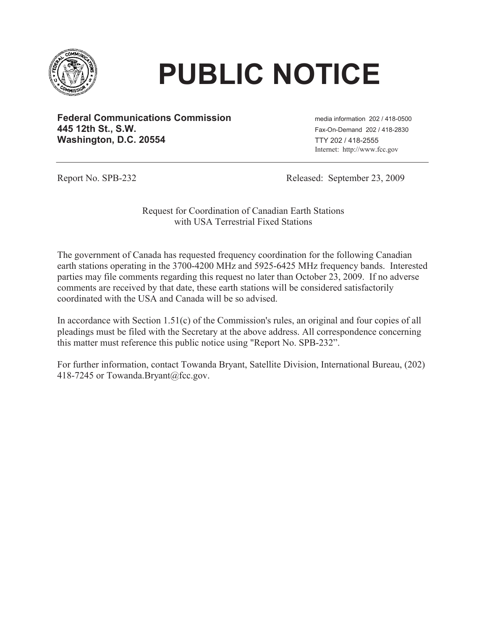

## **PUBLIC NOTICE**

**Federal Communications Commission** media information 202/418-0500 **445 12th St., S.W.** Fax-On-Demand 202 / 418-2830 **Washington, D.C. 20554** TTY 202 / 418-2555

Internet: http://www.fcc.gov

Report No. SPB-232 Released: September 23, 2009

Request for Coordination of Canadian Earth Stations with USA Terrestrial Fixed Stations

The government of Canada has requested frequency coordination for the following Canadian earth stations operating in the 3700-4200 MHz and 5925-6425 MHz frequency bands. Interested parties may file comments regarding this request no later than October 23, 2009. If no adverse comments are received by that date, these earth stations will be considered satisfactorily coordinated with the USA and Canada will be so advised.

In accordance with Section 1.51(c) of the Commission's rules, an original and four copies of all pleadings must be filed with the Secretary at the above address. All correspondence concerning this matter must reference this public notice using "Report No. SPB-232".

For further information, contact Towanda Bryant, Satellite Division, International Bureau, (202) 418-7245 or Towanda.Bryant@fcc.gov.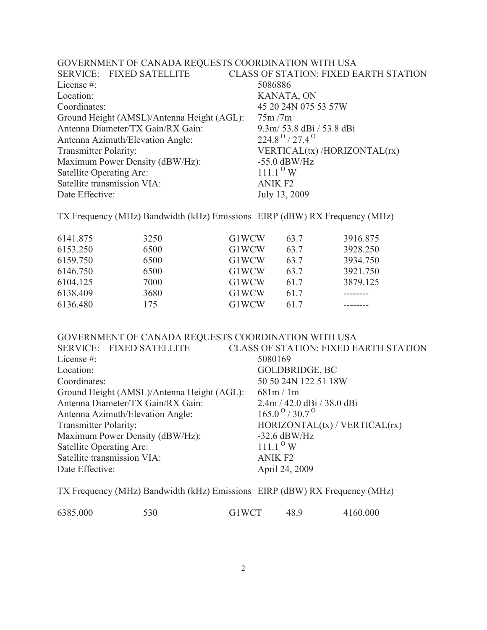| GOVERNMENT OF CANADA REQUESTS COORDINATION WITH USA |                                              |
|-----------------------------------------------------|----------------------------------------------|
| SERVICE: FIXED SATELLITE                            | <b>CLASS OF STATION: FIXED EARTH STATION</b> |
| License $#$ :                                       | 5086886                                      |
| Location:                                           | KANATA, ON                                   |
| Coordinates:                                        | 45 20 24N 075 53 57W                         |
| Ground Height (AMSL)/Antenna Height (AGL):          | 75m/7m                                       |
| Antenna Diameter/TX Gain/RX Gain:                   | $9.3m/ 53.8$ dBi / 53.8 dBi                  |
| Antenna Azimuth/Elevation Angle:                    | $224.8^{\circ}$ / 27.4 $^{\circ}$            |
| <b>Transmitter Polarity:</b>                        | VERTICAL(tx) /HORIZONTAL(rx)                 |
| Maximum Power Density (dBW/Hz):                     | $-55.0$ dBW/Hz                               |
| Satellite Operating Arc:                            | $111.1^{\circ}$ W                            |
| Satellite transmission VIA:                         | <b>ANIK F2</b>                               |
| Date Effective:                                     | July 13, 2009                                |

TX Frequency (MHz) Bandwidth (kHz) Emissions EIRP (dBW) RX Frequency (MHz)

| 3250 | G1WCW        | 63.7 | 3916.875 |
|------|--------------|------|----------|
| 6500 | G1WCW        | 63.7 | 3928.250 |
| 6500 | G1WCW        | 63.7 | 3934.750 |
| 6500 | G1WCW        | 63.7 | 3921.750 |
| 7000 | <b>G1WCW</b> | 617  | 3879.125 |
| 3680 | G1WCW        | 617  |          |
| 175  | G1WCW        | 617  |          |
|      |              |      |          |

| GOVERNMENT OF CANADA REQUESTS COORDINATION WITH USA |                                              |  |  |
|-----------------------------------------------------|----------------------------------------------|--|--|
| SERVICE: FIXED SATELLITE                            | <b>CLASS OF STATION: FIXED EARTH STATION</b> |  |  |
| License $#$ :                                       | 5080169                                      |  |  |
| Location:                                           | <b>GOLDBRIDGE, BC</b>                        |  |  |
| Coordinates:                                        | 50 50 24N 122 51 18W                         |  |  |
| Ground Height (AMSL)/Antenna Height (AGL):          | 681m/1m                                      |  |  |
| Antenna Diameter/TX Gain/RX Gain:                   | $2.4m / 42.0$ dBi $/ 38.0$ dBi               |  |  |
| Antenna Azimuth/Elevation Angle:                    | $165.0^{\circ}$ / 30.7 <sup>o</sup>          |  |  |
| <b>Transmitter Polarity:</b>                        | HORIZONTAL(tx) / VERTICAL(rx)                |  |  |
| Maximum Power Density (dBW/Hz):                     | $-32.6$ dBW/Hz                               |  |  |
| Satellite Operating Arc:                            | $111.1^{\circ}$ W                            |  |  |
| Satellite transmission VIA:                         | <b>ANIK F2</b>                               |  |  |
| Date Effective:                                     | April 24, 2009                               |  |  |
|                                                     |                                              |  |  |

TX Frequency (MHz) Bandwidth (kHz) Emissions EIRP (dBW) RX Frequency (MHz)

| 6385.000<br>530 | <b>G1WCT</b> |  | 4160.000 |
|-----------------|--------------|--|----------|
|-----------------|--------------|--|----------|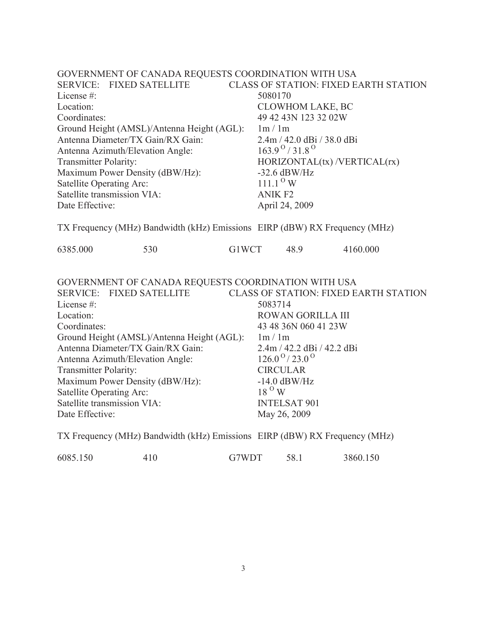|                                                                                                                                                       | GOVERNMENT OF CANADA REQUESTS COORDINATION WITH USA                                                                                                                                                                                       |                |                                                                                                                                                                                                                                   |                                              |  |
|-------------------------------------------------------------------------------------------------------------------------------------------------------|-------------------------------------------------------------------------------------------------------------------------------------------------------------------------------------------------------------------------------------------|----------------|-----------------------------------------------------------------------------------------------------------------------------------------------------------------------------------------------------------------------------------|----------------------------------------------|--|
| SERVICE: FIXED SATELLITE<br><b>CLASS OF STATION: FIXED EARTH STATION</b>                                                                              |                                                                                                                                                                                                                                           |                |                                                                                                                                                                                                                                   |                                              |  |
| License #:                                                                                                                                            |                                                                                                                                                                                                                                           |                | 5080170                                                                                                                                                                                                                           |                                              |  |
| Location:                                                                                                                                             |                                                                                                                                                                                                                                           |                | CLOWHOM LAKE, BC                                                                                                                                                                                                                  |                                              |  |
| Coordinates:                                                                                                                                          |                                                                                                                                                                                                                                           |                | 49 42 43N 123 32 02W                                                                                                                                                                                                              |                                              |  |
|                                                                                                                                                       | Ground Height (AMSL)/Antenna Height (AGL):                                                                                                                                                                                                |                | 1m / 1m                                                                                                                                                                                                                           |                                              |  |
|                                                                                                                                                       | Antenna Diameter/TX Gain/RX Gain:                                                                                                                                                                                                         |                | 2.4m / 42.0 dBi / 38.0 dBi                                                                                                                                                                                                        |                                              |  |
|                                                                                                                                                       | Antenna Azimuth/Elevation Angle:                                                                                                                                                                                                          |                | $163.9^{\circ}$ / 31.8 <sup>o</sup>                                                                                                                                                                                               |                                              |  |
| <b>Transmitter Polarity:</b>                                                                                                                          |                                                                                                                                                                                                                                           |                | HORIZONTAL(tx) /VERTICAL(rx)                                                                                                                                                                                                      |                                              |  |
|                                                                                                                                                       | Maximum Power Density (dBW/Hz):                                                                                                                                                                                                           |                | $-32.6$ dBW/Hz                                                                                                                                                                                                                    |                                              |  |
| Satellite Operating Arc:                                                                                                                              |                                                                                                                                                                                                                                           |                | $111.1^\circ$ W                                                                                                                                                                                                                   |                                              |  |
| Satellite transmission VIA:                                                                                                                           |                                                                                                                                                                                                                                           |                | <b>ANIK F2</b>                                                                                                                                                                                                                    |                                              |  |
| Date Effective:                                                                                                                                       |                                                                                                                                                                                                                                           | April 24, 2009 |                                                                                                                                                                                                                                   |                                              |  |
| TX Frequency (MHz) Bandwidth (kHz) Emissions EIRP (dBW) RX Frequency (MHz)                                                                            |                                                                                                                                                                                                                                           |                |                                                                                                                                                                                                                                   |                                              |  |
| 6385.000                                                                                                                                              | 530                                                                                                                                                                                                                                       | G1WCT          | 48.9                                                                                                                                                                                                                              | 4160.000                                     |  |
| License #:<br>Location:<br>Coordinates:<br><b>Transmitter Polarity:</b><br>Satellite Operating Arc:<br>Satellite transmission VIA:<br>Date Effective: | GOVERNMENT OF CANADA REQUESTS COORDINATION WITH USA<br>SERVICE: FIXED SATELLITE<br>Ground Height (AMSL)/Antenna Height (AGL):<br>Antenna Diameter/TX Gain/RX Gain:<br>Antenna Azimuth/Elevation Angle:<br>Maximum Power Density (dBW/Hz): |                | 5083714<br><b>ROWAN GORILLA III</b><br>43 48 36N 060 41 23W<br>1m / 1m<br>2.4m / 42.2 dBi / 42.2 dBi<br>$126.0^{\circ}$ /23.0 <sup>o</sup><br><b>CIRCULAR</b><br>$-14.0$ dBW/Hz<br>$180$ W<br><b>INTELSAT 901</b><br>May 26, 2009 | <b>CLASS OF STATION: FIXED EARTH STATION</b> |  |
|                                                                                                                                                       | TX Frequency (MHz) Bandwidth (kHz) Emissions EIRP (dBW) RX Frequency (MHz)                                                                                                                                                                |                |                                                                                                                                                                                                                                   |                                              |  |
|                                                                                                                                                       |                                                                                                                                                                                                                                           |                |                                                                                                                                                                                                                                   |                                              |  |
| 6085.150                                                                                                                                              | 410                                                                                                                                                                                                                                       | G7WDT          | 58.1                                                                                                                                                                                                                              | 3860.150                                     |  |